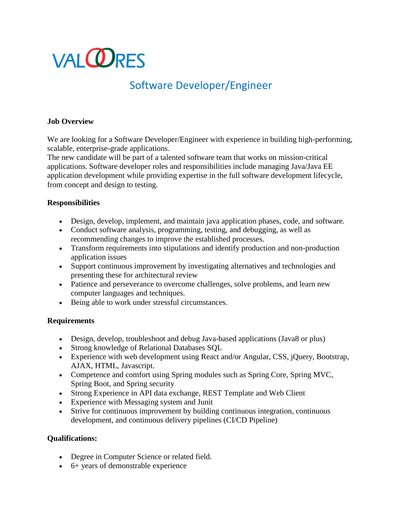# **VALORES**

# Software Developer/Engineer

# **Job Overview**

We are looking for a Software Developer/Engineer with experience in building high-performing, scalable, enterprise-grade applications.

The new candidate will be part of a talented software team that works on mission-critical applications. Software developer roles and responsibilities include managing Java/Java EE application development while providing expertise in the full software development lifecycle, from concept and design to testing.

#### **Responsibilities**

- Design, develop, implement, and maintain java application phases, code, and software.
- Conduct software analysis, programming, testing, and debugging, as well as recommending changes to improve the established processes.
- Transform requirements into stipulations and identify production and non-production application issues
- Support continuous improvement by investigating alternatives and technologies and presenting these for architectural review
- Patience and perseverance to overcome challenges, solve problems, and learn new computer languages and techniques.
- Being able to work under stressful circumstances.

# **Requirements**

- Design, develop, troubleshoot and debug Java-based applications (Java8 or plus)
- Strong knowledge of Relational Databases SQL
- Experience with web development using React and/or Angular, CSS, jQuery, Bootstrap, AJAX, HTML, Javascript.
- Competence and comfort using Spring modules such as Spring Core, Spring MVC, Spring Boot, and Spring security
- Strong Experience in API data exchange, REST Template and Web Client
- Experience with Messaging system and Junit
- Strive for continuous improvement by building continuous integration, continuous development, and continuous delivery pipelines (CI/CD Pipeline)

# **Qualifications:**

- Degree in Computer Science or related field.
- 6+ years of demonstrable experience